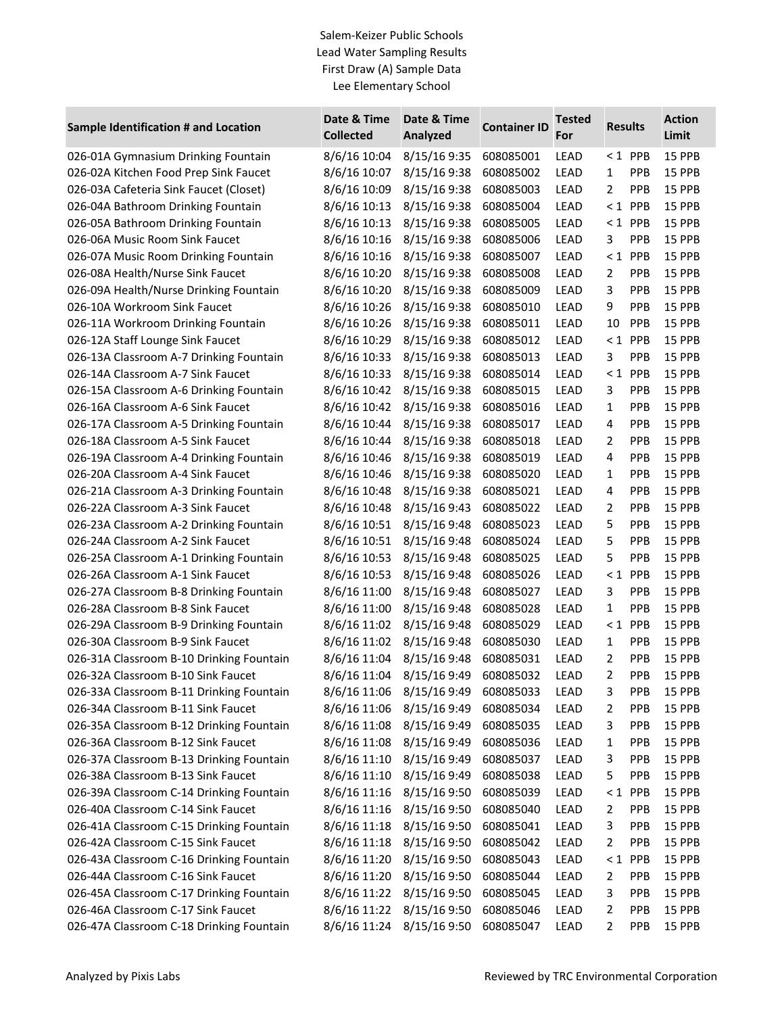## Salem-Keizer Public Schools Lead Water Sampling Results First Draw (A) Sample Data Lee Elementary School

| Sample Identification # and Location     | Date & Time<br><b>Collected</b> | Date & Time<br>Analyzed | <b>Container ID</b> | <b>Tested</b><br>For | <b>Results</b> |            | <b>Action</b><br>Limit |
|------------------------------------------|---------------------------------|-------------------------|---------------------|----------------------|----------------|------------|------------------------|
| 026-01A Gymnasium Drinking Fountain      | 8/6/16 10:04                    | 8/15/16 9:35            | 608085001           | LEAD                 | $< 1$ PPB      |            | 15 PPB                 |
| 026-02A Kitchen Food Prep Sink Faucet    | 8/6/16 10:07                    | 8/15/16 9:38            | 608085002           | LEAD                 | 1              | PPB        | 15 PPB                 |
| 026-03A Cafeteria Sink Faucet (Closet)   | 8/6/16 10:09                    | 8/15/16 9:38            | 608085003           | LEAD                 | $\overline{2}$ | PPB        | 15 PPB                 |
| 026-04A Bathroom Drinking Fountain       | 8/6/16 10:13                    | 8/15/16 9:38            | 608085004           | LEAD                 | $\leq 1$       | PPB        | 15 PPB                 |
| 026-05A Bathroom Drinking Fountain       | 8/6/16 10:13                    | 8/15/16 9:38            | 608085005           | LEAD                 | $< 1$ PPB      |            | 15 PPB                 |
| 026-06A Music Room Sink Faucet           | 8/6/16 10:16                    | 8/15/16 9:38            | 608085006           | LEAD                 | 3              | PPB        | 15 PPB                 |
| 026-07A Music Room Drinking Fountain     | 8/6/16 10:16                    | 8/15/16 9:38            | 608085007           | LEAD                 | $< 1$ PPB      |            | 15 PPB                 |
| 026-08A Health/Nurse Sink Faucet         | 8/6/16 10:20                    | 8/15/16 9:38            | 608085008           | LEAD                 | 2              | PPB        | 15 PPB                 |
| 026-09A Health/Nurse Drinking Fountain   | 8/6/16 10:20                    | 8/15/16 9:38            | 608085009           | LEAD                 | 3              | PPB        | 15 PPB                 |
| 026-10A Workroom Sink Faucet             | 8/6/16 10:26                    | 8/15/16 9:38            | 608085010           | LEAD                 | 9              | PPB        | 15 PPB                 |
| 026-11A Workroom Drinking Fountain       | 8/6/16 10:26                    | 8/15/16 9:38            | 608085011           | LEAD                 | 10             | PPB        | 15 PPB                 |
| 026-12A Staff Lounge Sink Faucet         | 8/6/16 10:29                    | 8/15/16 9:38            | 608085012           | LEAD                 | $< 1$ PPB      |            | 15 PPB                 |
| 026-13A Classroom A-7 Drinking Fountain  | 8/6/16 10:33                    | 8/15/16 9:38            | 608085013           | LEAD                 | 3              | PPB        | 15 PPB                 |
| 026-14A Classroom A-7 Sink Faucet        | 8/6/16 10:33                    | 8/15/16 9:38            | 608085014           | LEAD                 | $< 1$ PPB      |            | 15 PPB                 |
| 026-15A Classroom A-6 Drinking Fountain  | 8/6/16 10:42                    | 8/15/16 9:38            | 608085015           | LEAD                 | 3              | PPB        | 15 PPB                 |
| 026-16A Classroom A-6 Sink Faucet        | 8/6/16 10:42                    | 8/15/16 9:38            | 608085016           | LEAD                 | 1              | PPB        | 15 PPB                 |
| 026-17A Classroom A-5 Drinking Fountain  | 8/6/16 10:44                    | 8/15/16 9:38            | 608085017           | LEAD                 | 4              | PPB        | 15 PPB                 |
| 026-18A Classroom A-5 Sink Faucet        | 8/6/16 10:44                    | 8/15/16 9:38            | 608085018           | LEAD                 | 2              | PPB        | 15 PPB                 |
| 026-19A Classroom A-4 Drinking Fountain  | 8/6/16 10:46                    | 8/15/16 9:38            | 608085019           | LEAD                 | 4              | PPB        | 15 PPB                 |
| 026-20A Classroom A-4 Sink Faucet        | 8/6/16 10:46                    | 8/15/16 9:38            | 608085020           | LEAD                 | 1              | PPB        | 15 PPB                 |
| 026-21A Classroom A-3 Drinking Fountain  | 8/6/16 10:48                    | 8/15/16 9:38            | 608085021           | LEAD                 | 4              | PPB        | 15 PPB                 |
| 026-22A Classroom A-3 Sink Faucet        | 8/6/16 10:48                    | 8/15/16 9:43            | 608085022           | LEAD                 | 2              | PPB        | <b>15 PPB</b>          |
| 026-23A Classroom A-2 Drinking Fountain  | 8/6/16 10:51                    | 8/15/16 9:48            | 608085023           | LEAD                 | 5              | PPB        | 15 PPB                 |
| 026-24A Classroom A-2 Sink Faucet        | 8/6/16 10:51                    | 8/15/16 9:48            | 608085024           | LEAD                 | 5              | PPB        | 15 PPB                 |
| 026-25A Classroom A-1 Drinking Fountain  | 8/6/16 10:53                    | 8/15/16 9:48            | 608085025           | LEAD                 | 5              | PPB        | 15 PPB                 |
| 026-26A Classroom A-1 Sink Faucet        | 8/6/16 10:53                    | 8/15/16 9:48            | 608085026           | LEAD                 | $\leq 1$       | PPB        | 15 PPB                 |
| 026-27A Classroom B-8 Drinking Fountain  | 8/6/16 11:00                    | 8/15/16 9:48            | 608085027           | LEAD                 | 3              | PPB        | 15 PPB                 |
| 026-28A Classroom B-8 Sink Faucet        | 8/6/16 11:00                    | 8/15/16 9:48            | 608085028           | LEAD                 | 1              | PPB        | 15 PPB                 |
| 026-29A Classroom B-9 Drinking Fountain  | 8/6/16 11:02                    | 8/15/16 9:48            | 608085029           | LEAD                 | $< 1$ PPB      |            | 15 PPB                 |
| 026-30A Classroom B-9 Sink Faucet        | 8/6/16 11:02                    | 8/15/16 9:48            | 608085030           | LEAD                 | $\mathbf{1}$   | PPB        | 15 PPB                 |
| 026-31A Classroom B-10 Drinking Fountain | 8/6/16 11:04                    | 8/15/16 9:48            | 608085031           | LEAD                 | 2              | PPB        | 15 PPB                 |
| 026-32A Classroom B-10 Sink Faucet       | 8/6/16 11:04                    | 8/15/16 9:49            | 608085032           | LEAD                 | $\overline{2}$ | PPB        | 15 PPB                 |
| 026-33A Classroom B-11 Drinking Fountain | 8/6/16 11:06                    | 8/15/16 9:49            | 608085033           | LEAD                 | 3              | <b>PPB</b> | <b>15 PPB</b>          |
| 026-34A Classroom B-11 Sink Faucet       | 8/6/16 11:06                    | 8/15/16 9:49            | 608085034           | LEAD                 | 2              | <b>PPB</b> | 15 PPB                 |
| 026-35A Classroom B-12 Drinking Fountain | 8/6/16 11:08                    | 8/15/16 9:49            | 608085035           | LEAD                 | 3              | <b>PPB</b> | 15 PPB                 |
| 026-36A Classroom B-12 Sink Faucet       | 8/6/16 11:08                    | 8/15/16 9:49            | 608085036           | LEAD                 | 1              | <b>PPB</b> | 15 PPB                 |
| 026-37A Classroom B-13 Drinking Fountain | 8/6/16 11:10                    | 8/15/16 9:49            | 608085037           | LEAD                 | 3              | PPB        | 15 PPB                 |
| 026-38A Classroom B-13 Sink Faucet       | 8/6/16 11:10                    | 8/15/16 9:49            | 608085038           | LEAD                 | 5              | <b>PPB</b> | <b>15 PPB</b>          |
| 026-39A Classroom C-14 Drinking Fountain | 8/6/16 11:16                    | 8/15/16 9:50            | 608085039           | LEAD                 | $< 1$ PPB      |            | 15 PPB                 |
| 026-40A Classroom C-14 Sink Faucet       | 8/6/16 11:16                    | 8/15/16 9:50            | 608085040           | LEAD                 | 2              | PPB        | 15 PPB                 |
| 026-41A Classroom C-15 Drinking Fountain | 8/6/16 11:18                    | 8/15/16 9:50            | 608085041           | LEAD                 | 3              | <b>PPB</b> | 15 PPB                 |
| 026-42A Classroom C-15 Sink Faucet       | 8/6/16 11:18                    | 8/15/16 9:50            | 608085042           | LEAD                 | 2              | <b>PPB</b> | 15 PPB                 |
| 026-43A Classroom C-16 Drinking Fountain | 8/6/16 11:20                    | 8/15/16 9:50            | 608085043           | LEAD                 | $\leq 1$       | <b>PPB</b> | <b>15 PPB</b>          |
| 026-44A Classroom C-16 Sink Faucet       | 8/6/16 11:20                    | 8/15/16 9:50            | 608085044           | LEAD                 | 2              | <b>PPB</b> | 15 PPB                 |
| 026-45A Classroom C-17 Drinking Fountain | 8/6/16 11:22                    | 8/15/16 9:50            | 608085045           | LEAD                 | 3              | <b>PPB</b> | 15 PPB                 |
| 026-46A Classroom C-17 Sink Faucet       | 8/6/16 11:22                    | 8/15/16 9:50            | 608085046           | LEAD                 | 2              | <b>PPB</b> | 15 PPB                 |
| 026-47A Classroom C-18 Drinking Fountain | 8/6/16 11:24                    | 8/15/16 9:50            | 608085047           | LEAD                 | 2              | PPB        | 15 PPB                 |